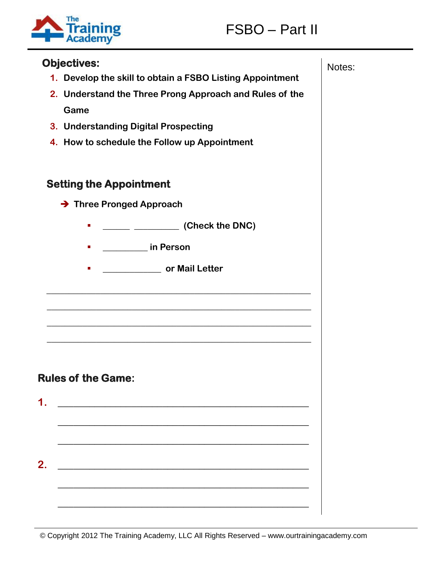



# **Objectives:** Notes: Notes: Notes: Notes: Notes: Notes: Notes: Notes: Notes: Notes: Notes: Notes: Notes: Notes: Notes: Notes: Notes: Notes: Notes: Notes: Notes: Notes: Notes: Notes: Notes: Notes: Notes: Notes: Notes: Notes **1. Develop the skill to obtain a FSBO Listing Appointment 2. Understand the Three Prong Approach and Rules of the Game 3. Understanding Digital Prospecting 4. How to schedule the Follow up Appointment Setting the Appointment → Three Pronged Approach \_\_\_\_\_\_ \_\_\_\_\_\_\_\_\_\_ (Check the DNC) \_\_\_\_\_\_\_\_\_\_ in Person \_\_\_\_\_\_\_\_\_\_\_\_\_ or Mail Letter \_\_\_\_\_\_\_\_\_\_\_\_\_\_\_\_\_\_\_\_\_\_\_\_\_\_\_\_\_\_\_\_\_\_\_\_\_\_\_\_\_\_\_\_\_\_\_\_\_\_\_\_\_\_\_\_\_\_\_ \_\_\_\_\_\_\_\_\_\_\_\_\_\_\_\_\_\_\_\_\_\_\_\_\_\_\_\_\_\_\_\_\_\_\_\_\_\_\_\_\_\_\_\_\_\_\_\_\_\_\_\_\_\_\_\_\_\_\_ \_\_\_\_\_\_\_\_\_\_\_\_\_\_\_\_\_\_\_\_\_\_\_\_\_\_\_\_\_\_\_\_\_\_\_\_\_\_\_\_\_\_\_\_\_\_\_\_\_\_\_\_\_\_\_\_\_\_\_ \_\_\_\_\_\_\_\_\_\_\_\_\_\_\_\_\_\_\_\_\_\_\_\_\_\_\_\_\_\_\_\_\_\_\_\_\_\_\_\_\_\_\_\_\_\_\_\_\_\_\_\_\_\_\_\_\_\_\_ Rules of the Game: 1. \_\_\_\_\_\_\_\_\_\_\_\_\_\_\_\_\_\_\_\_\_\_\_\_\_\_\_\_\_\_\_\_\_\_\_\_\_\_\_\_\_\_\_\_\_\_\_\_ \_\_\_\_\_\_\_\_\_\_\_\_\_\_\_\_\_\_\_\_\_\_\_\_\_\_\_\_\_\_\_\_\_\_\_\_\_\_\_\_\_\_\_\_\_\_\_\_ \_\_\_\_\_\_\_\_\_\_\_\_\_\_\_\_\_\_\_\_\_\_\_\_\_\_\_\_\_\_\_\_\_\_\_\_\_\_\_\_\_\_\_\_\_\_\_\_ 2. \_\_\_\_\_\_\_\_\_\_\_\_\_\_\_\_\_\_\_\_\_\_\_\_\_\_\_\_\_\_\_\_\_\_\_\_\_\_\_\_\_\_\_\_\_\_\_\_ \_\_\_\_\_\_\_\_\_\_\_\_\_\_\_\_\_\_\_\_\_\_\_\_\_\_\_\_\_\_\_\_\_\_\_\_\_\_\_\_\_\_\_\_\_\_\_\_ \_\_\_\_\_\_\_\_\_\_\_\_\_\_\_\_\_\_\_\_\_\_\_\_\_\_\_\_\_\_\_\_\_\_\_\_\_\_\_\_\_\_\_\_\_\_\_\_**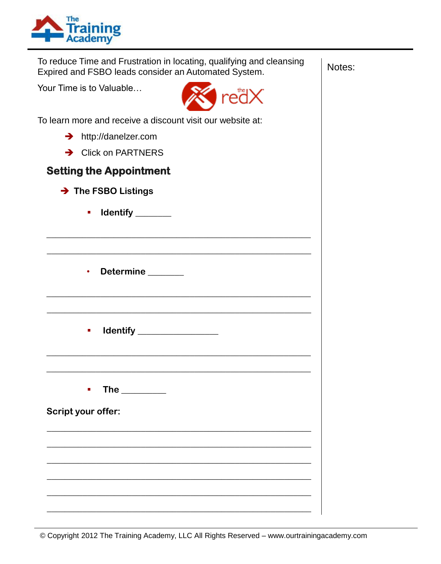

To reduce Time and Frustration in locating, qualifying and cleansing | Notes: Expired and FSBO leads consider an Automated System.

**\_\_\_\_\_\_\_\_\_\_\_\_\_\_\_\_\_\_\_\_\_\_\_\_\_\_\_\_\_\_\_\_\_\_\_\_\_\_\_\_\_\_\_\_\_\_\_\_\_\_\_\_\_\_\_\_\_\_\_**

**\_\_\_\_\_\_\_\_\_\_\_\_\_\_\_\_\_\_\_\_\_\_\_\_\_\_\_\_\_\_\_\_\_\_\_\_\_\_\_\_\_\_\_\_\_\_\_\_\_\_\_\_\_\_\_\_\_\_\_**

**\_\_\_\_\_\_\_\_\_\_\_\_\_\_\_\_\_\_\_\_\_\_\_\_\_\_\_\_\_\_\_\_\_\_\_\_\_\_\_\_\_\_\_\_\_\_\_\_\_\_\_\_\_\_\_\_\_\_\_**

**\_\_\_\_\_\_\_\_\_\_\_\_\_\_\_\_\_\_\_\_\_\_\_\_\_\_\_\_\_\_\_\_\_\_\_\_\_\_\_\_\_\_\_\_\_\_\_\_\_\_\_\_\_\_\_\_\_\_\_**

**\_\_\_\_\_\_\_\_\_\_\_\_\_\_\_\_\_\_\_\_\_\_\_\_\_\_\_\_\_\_\_\_\_\_\_\_\_\_\_\_\_\_\_\_\_\_\_\_\_\_\_\_\_\_\_\_\_\_\_**

**\_\_\_\_\_\_\_\_\_\_\_\_\_\_\_\_\_\_\_\_\_\_\_\_\_\_\_\_\_\_\_\_\_\_\_\_\_\_\_\_\_\_\_\_\_\_\_\_\_\_\_\_\_\_\_\_\_\_\_**

**\_\_\_\_\_\_\_\_\_\_\_\_\_\_\_\_\_\_\_\_\_\_\_\_\_\_\_\_\_\_\_\_\_\_\_\_\_\_\_\_\_\_\_\_\_\_\_\_\_\_\_\_\_\_\_\_\_\_\_**

**\_\_\_\_\_\_\_\_\_\_\_\_\_\_\_\_\_\_\_\_\_\_\_\_\_\_\_\_\_\_\_\_\_\_\_\_\_\_\_\_\_\_\_\_\_\_\_\_\_\_\_\_\_\_\_\_\_\_\_**

**\_\_\_\_\_\_\_\_\_\_\_\_\_\_\_\_\_\_\_\_\_\_\_\_\_\_\_\_\_\_\_\_\_\_\_\_\_\_\_\_\_\_\_\_\_\_\_\_\_\_\_\_\_\_\_\_\_\_\_**

**\_\_\_\_\_\_\_\_\_\_\_\_\_\_\_\_\_\_\_\_\_\_\_\_\_\_\_\_\_\_\_\_\_\_\_\_\_\_\_\_\_\_\_\_\_\_\_\_\_\_\_\_\_\_\_\_\_\_\_** 

Your Time is to Valuable…



To learn more and receive a discount visit our website at:

- → http://danelzer.com
- **→** Click on PARTNERS

#### **Setting the Appointment**

- **→ The FSBO Listings** 
	- **Identify**
	- **Determine \_\_\_\_\_\_\_\_**
	- **Identify \_\_\_\_\_\_\_\_\_\_\_\_\_\_\_\_\_**
	- **The**  $\blacksquare$

**Script your offer:**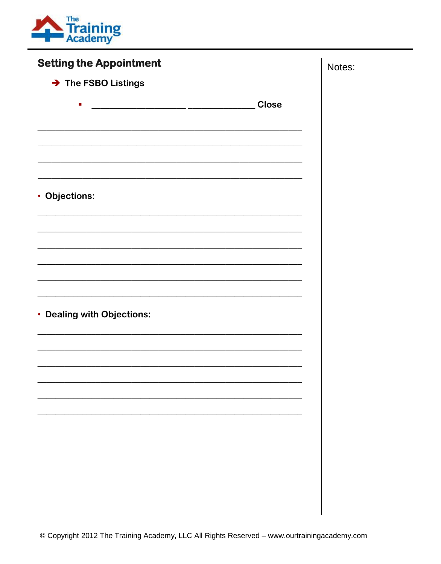

| <b>Setting the Appointment</b> | Notes: |
|--------------------------------|--------|
| > The FSBO Listings            |        |
| <b>Close</b><br>п              |        |
|                                |        |
|                                |        |
| • Objections:                  |        |
|                                |        |
|                                |        |
|                                |        |
| • Dealing with Objections:     |        |
|                                |        |
|                                |        |
|                                |        |
|                                |        |
|                                |        |
|                                |        |
|                                |        |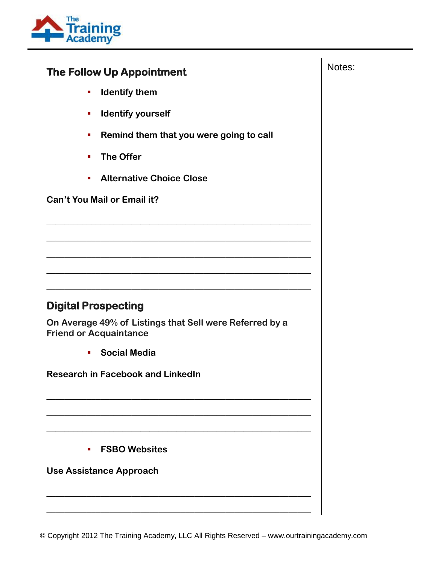

### The Follow Up Appointment **The Follow Up Appointment**

- **IDENTIFY them**
- **Identify yourself**
- **Remind them that you were going to call**

**\_\_\_\_\_\_\_\_\_\_\_\_\_\_\_\_\_\_\_\_\_\_\_\_\_\_\_\_\_\_\_\_\_\_\_\_\_\_\_\_\_\_\_\_\_\_\_\_\_\_\_\_\_\_\_\_\_\_\_**

**\_\_\_\_\_\_\_\_\_\_\_\_\_\_\_\_\_\_\_\_\_\_\_\_\_\_\_\_\_\_\_\_\_\_\_\_\_\_\_\_\_\_\_\_\_\_\_\_\_\_\_\_\_\_\_\_\_\_\_**

**\_\_\_\_\_\_\_\_\_\_\_\_\_\_\_\_\_\_\_\_\_\_\_\_\_\_\_\_\_\_\_\_\_\_\_\_\_\_\_\_\_\_\_\_\_\_\_\_\_\_\_\_\_\_\_\_\_\_\_**

**\_\_\_\_\_\_\_\_\_\_\_\_\_\_\_\_\_\_\_\_\_\_\_\_\_\_\_\_\_\_\_\_\_\_\_\_\_\_\_\_\_\_\_\_\_\_\_\_\_\_\_\_\_\_\_\_\_\_\_**

**\_\_\_\_\_\_\_\_\_\_\_\_\_\_\_\_\_\_\_\_\_\_\_\_\_\_\_\_\_\_\_\_\_\_\_\_\_\_\_\_\_\_\_\_\_\_\_\_\_\_\_\_\_\_\_\_\_\_\_**

**\_\_\_\_\_\_\_\_\_\_\_\_\_\_\_\_\_\_\_\_\_\_\_\_\_\_\_\_\_\_\_\_\_\_\_\_\_\_\_\_\_\_\_\_\_\_\_\_\_\_\_\_\_\_\_\_\_\_\_**

**\_\_\_\_\_\_\_\_\_\_\_\_\_\_\_\_\_\_\_\_\_\_\_\_\_\_\_\_\_\_\_\_\_\_\_\_\_\_\_\_\_\_\_\_\_\_\_\_\_\_\_\_\_\_\_\_\_\_\_**

**\_\_\_\_\_\_\_\_\_\_\_\_\_\_\_\_\_\_\_\_\_\_\_\_\_\_\_\_\_\_\_\_\_\_\_\_\_\_\_\_\_\_\_\_\_\_\_\_\_\_\_\_\_\_\_\_\_\_\_**

**\_\_\_\_\_\_\_\_\_\_\_\_\_\_\_\_\_\_\_\_\_\_\_\_\_\_\_\_\_\_\_\_\_\_\_\_\_\_\_\_\_\_\_\_\_\_\_\_\_\_\_\_\_\_\_\_\_\_\_**

**\_\_\_\_\_\_\_\_\_\_\_\_\_\_\_\_\_\_\_\_\_\_\_\_\_\_\_\_\_\_\_\_\_\_\_\_\_\_\_\_\_\_\_\_\_\_\_\_\_\_\_\_\_\_\_\_\_\_\_**

- **The Offer**
- **Alternative Choice Close**

**Can't You Mail or Email it?**

#### **Digital Prospecting**

**On Average 49% of Listings that Sell were Referred by a Friend or Acquaintance** 

**Social Media**

**Research in Facebook and LinkedIn**

**FSBO Websites**

**Use Assistance Approach**